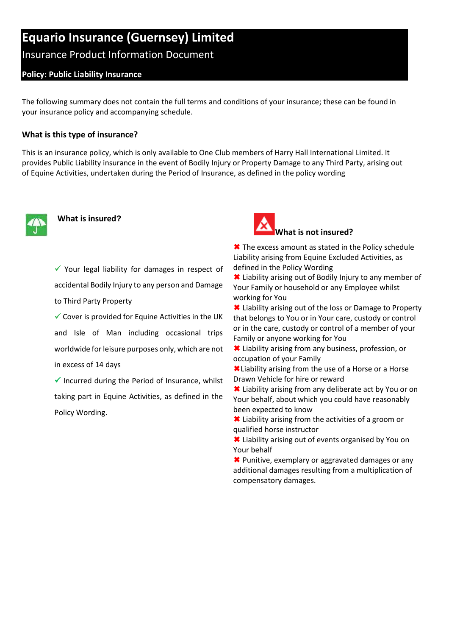# **Equario Insurance (Guernsey) Limited**

# Insurance Product Information Document

# **Policy: Public Liability Insurance**

The following summary does not contain the full terms and conditions of your insurance; these can be found in your insurance policy and accompanying schedule.

#### **What is this type of insurance?**

This is an insurance policy, which is only available to One Club members of Harry Hall International Limited. It provides Public Liability insurance in the event of Bodily Injury or Property Damage to any Third Party, arising out of Equine Activities, undertaken during the Period of Insurance, as defined in the policy wording



# **What is insured?**

 $\checkmark$  Your legal liability for damages in respect of accidental Bodily Injury to any person and Damage to Third Party Property

 $\checkmark$  Cover is provided for Equine Activities in the UK and Isle of Man including occasional trips worldwide for leisure purposes only, which are not in excess of 14 days

 $\checkmark$  Incurred during the Period of Insurance, whilst taking part in Equine Activities, as defined in the Policy Wording.



**<sup>★</sup>** The excess amount as stated in the Policy schedule Liability arising from Equine Excluded Activities, as defined in the Policy Wording

**\*** Liability arising out of Bodily Injury to any member of Your Family or household or any Employee whilst working for You

 Liability arising out of the loss or Damage to Property that belongs to You or in Your care, custody or control or in the care, custody or control of a member of your Family or anyone working for You

 Liability arising from any business, profession, or occupation of your Family

Liability arising from the use of a Horse or a Horse Drawn Vehicle for hire or reward

 Liability arising from any deliberate act by You or on Your behalf, about which you could have reasonably been expected to know

 Liability arising from the activities of a groom or qualified horse instructor

 Liability arising out of events organised by You on Your behalf

**<sup>★</sup>** Punitive, exemplary or aggravated damages or any additional damages resulting from a multiplication of compensatory damages.